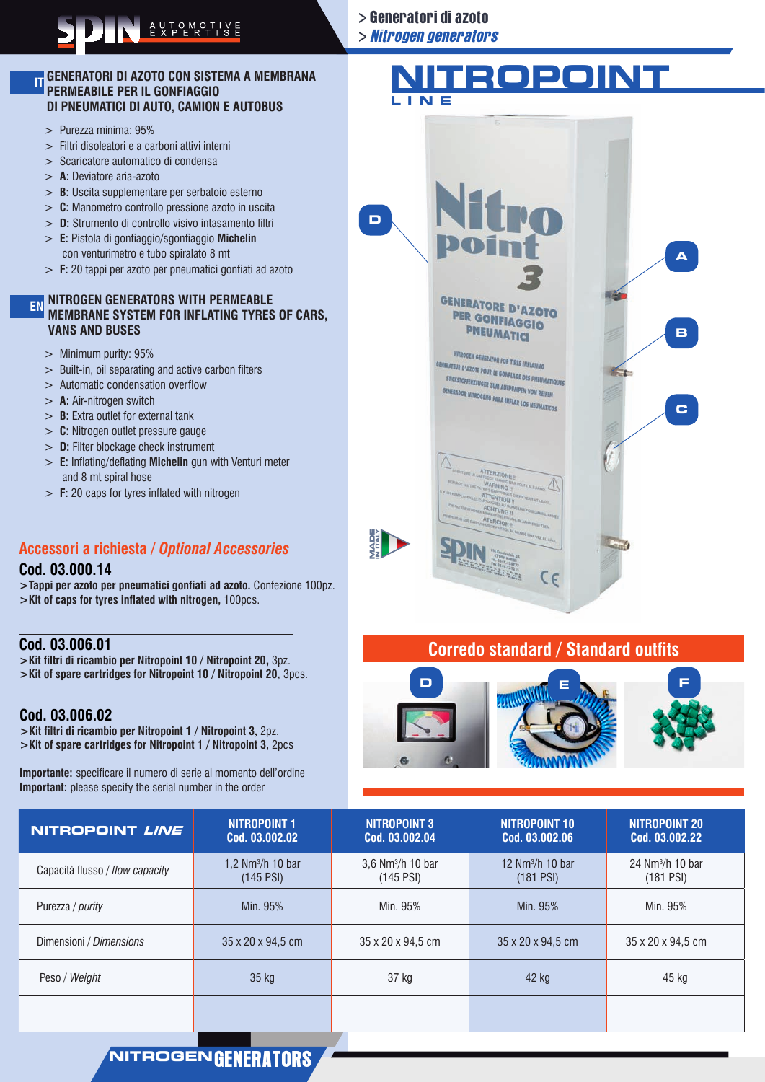# NITROGEN GENERATORS<br>
Second Contract of Second Contract of Second Contract of Second Contract of Second Contract of Second Contract of Second Contract of Second Contract of Second Contract of Second Contract of Second Cont

### **GENERATORI DI AZOTO CON SISTEMA A MEMBRANA PERMEABILE PER IL GONFIAGGIO DI PNEUMATICI DI AUTO, CAMION E AUTOBUS IT**

- > Purezza minima: 95%
- > Filtri disoleatori e a carboni attivi interni
- > Scaricatore automatico di condensa
- > **A:** Deviatore aria-azoto
- > **B:** Uscita supplementare per serbatoio esterno
- > **C:** Manometro controllo pressione azoto in uscita
- > **D:** Strumento di controllo visivo intasamento filtri > **E:** Pistola di gonfiaggio/sgonfiaggio **Michelin**
- con venturimetro e tubo spiralato 8 mt
- > **F:** 20 tappi per azoto per pneumatici gonfiati ad azoto

## **NITROGEN GENERATORS WITH PERMEABLE EN MEMBRANE SYSTEM FOR INFLATING TYRES OF CARS, VANS AND BUSES**

- > Minimum purity: 95%
- > Built-in, oil separating and active carbon filters
- > Automatic condensation overflow
- > **A:** Air-nitrogen switch
- > **B:** Extra outlet for external tank
- > **C:** Nitrogen outlet pressure gauge
- > **D:** Filter blockage check instrument
- > **E:** Inflating/deflating **Michelin** gun with Venturi meter and 8 mt spiral hose
- > **F:** 20 caps for tyres inflated with nitrogen

# **Accessori a richiesta /** *Optional Accessories*

### **Cod. 03.000.14**

**>Tappi per azoto per pneumatici gonfiati ad azoto.** Confezione 100pz. **>Kit of caps for tyres inflated with nitrogen,** 100pcs.

# **Cod. 03.006.01**

**>Kit filtri di ricambio per Nitropoint 10 / Nitropoint 20,** 3pz. **>Kit of spare cartridges for Nitropoint 10 / Nitropoint 20,** 3pcs.

# **Cod. 03.006.02**

**>Kit filtri di ricambio per Nitropoint 1 / Nitropoint 3,** 2pz. **>Kit of spare cartridges for Nitropoint 1 / Nitropoint 3,** 2pcs

**Importante:** specificare il numero di serie al momento dell'ordine **Important:** please specify the serial number in the order

# > Nitrogen generators

> Generatori di azoto

# **NITROPOINT**



# **Corredo standard / Standard outfits**



| NITROPOINT LINE                 | <b>NITROPOINT 1</b><br>Cod. 03.002.02 | <b>NITROPOINT 3</b><br>Cod. 03.002.04          | NITROPOINT 10<br>Cod. 03.002.06  | NITROPOINT 20<br>Cod. 03.002.22  |
|---------------------------------|---------------------------------------|------------------------------------------------|----------------------------------|----------------------------------|
| Capacità flusso / flow capacity | 1.2 $Nm3/h$ 10 bar<br>$(145$ PSI)     | $3.6$ Nm <sup>3</sup> /h 10 bar<br>$(145$ PSI) | 12 $Nm3/h$ 10 bar<br>$(181$ PSI) | 24 $Nm3/h$ 10 bar<br>$(181$ PSI) |
| Purezza / <i>purity</i>         | Min. 95%                              | Min. 95%                                       | Min. 95%                         | Min. 95%                         |
| Dimensioni / Dimensions         | 35 x 20 x 94,5 cm                     | 35 x 20 x 94.5 cm                              | 35 x 20 x 94,5 cm                | 35 x 20 x 94,5 cm                |
| Peso / Weight                   | 35 kg                                 | 37 kg                                          | 42 kg                            | 45 kg                            |
|                                 |                                       |                                                |                                  |                                  |